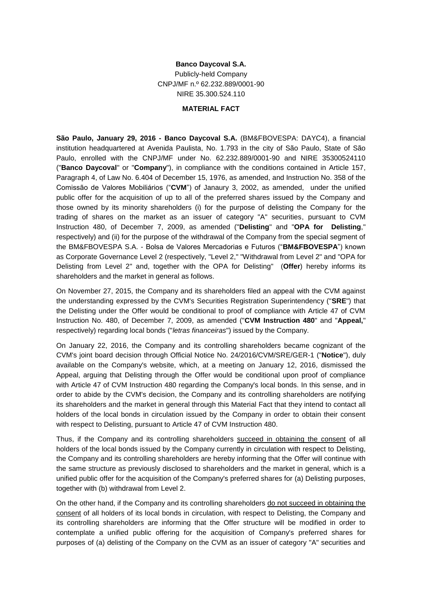## **Banco Daycoval S.A.** Publicly-held Company CNPJ/MF n.º 62.232.889/0001-90 NIRE 35.300.524.110

## **MATERIAL FACT**

**São Paulo, January 29, 2016 - Banco Daycoval S.A.** (BM&FBOVESPA: DAYC4), a financial institution headquartered at Avenida Paulista, No. 1.793 in the city of São Paulo, State of São Paulo, enrolled with the CNPJ/MF under No. 62.232.889/0001-90 and NIRE 35300524110 ("**Banco Daycoval**" or "**Company**"), in compliance with the conditions contained in Article 157, Paragraph 4, of Law No. 6.404 of December 15, 1976, as amended, and Instruction No. 358 of the Comissão de Valores Mobiliários ("**CVM**") of Janaury 3, 2002, as amended, under the unified public offer for the acquisition of up to all of the preferred shares issued by the Company and those owned by its minority shareholders (i) for the purpose of delisting the Company for the trading of shares on the market as an issuer of category "A" securities, pursuant to CVM Instruction 480, of December 7, 2009, as amended ("**Delisting**" and "**OPA for Delisting**," respectively) and (ii) for the purpose of the withdrawal of the Company from the special segment of the BM&FBOVESPA S.A. - Bolsa de Valores Mercadorias e Futuros ("**BM&FBOVESPA**") known as Corporate Governance Level 2 (respectively, "Level 2," "Withdrawal from Level 2" and "OPA for Delisting from Level 2" and, together with the OPA for Delisting" (**Offer**) hereby informs its shareholders and the market in general as follows.

On November 27, 2015, the Company and its shareholders filed an appeal with the CVM against the understanding expressed by the CVM's Securities Registration Superintendency ("**SRE**") that the Delisting under the Offer would be conditional to proof of compliance with Article 47 of CVM Instruction No. 480, of December 7, 2009, as amended ("**CVM Instruction 480**" and "**Appeal,**" respectively) regarding local bonds ("*letras financeiras*") issued by the Company.

On January 22, 2016, the Company and its controlling shareholders became cognizant of the CVM's joint board decision through Official Notice No. 24/2016/CVM/SRE/GER-1 ("**Notice**"), duly available on the Company's website, which, at a meeting on January 12, 2016, dismissed the Appeal, arguing that Delisting through the Offer would be conditional upon proof of compliance with Article 47 of CVM Instruction 480 regarding the Company's local bonds. In this sense, and in order to abide by the CVM's decision, the Company and its controlling shareholders are notifying its shareholders and the market in general through this Material Fact that they intend to contact all holders of the local bonds in circulation issued by the Company in order to obtain their consent with respect to Delisting, pursuant to Article 47 of CVM Instruction 480.

Thus, if the Company and its controlling shareholders succeed in obtaining the consent of all holders of the local bonds issued by the Company currently in circulation with respect to Delisting, the Company and its controlling shareholders are hereby informing that the Offer will continue with the same structure as previously disclosed to shareholders and the market in general, which is a unified public offer for the acquisition of the Company's preferred shares for (a) Delisting purposes, together with (b) withdrawal from Level 2.

On the other hand, if the Company and its controlling shareholders do not succeed in obtaining the consent of all holders of its local bonds in circulation, with respect to Delisting, the Company and its controlling shareholders are informing that the Offer structure will be modified in order to contemplate a unified public offering for the acquisition of Company's preferred shares for purposes of (a) delisting of the Company on the CVM as an issuer of category "A" securities and